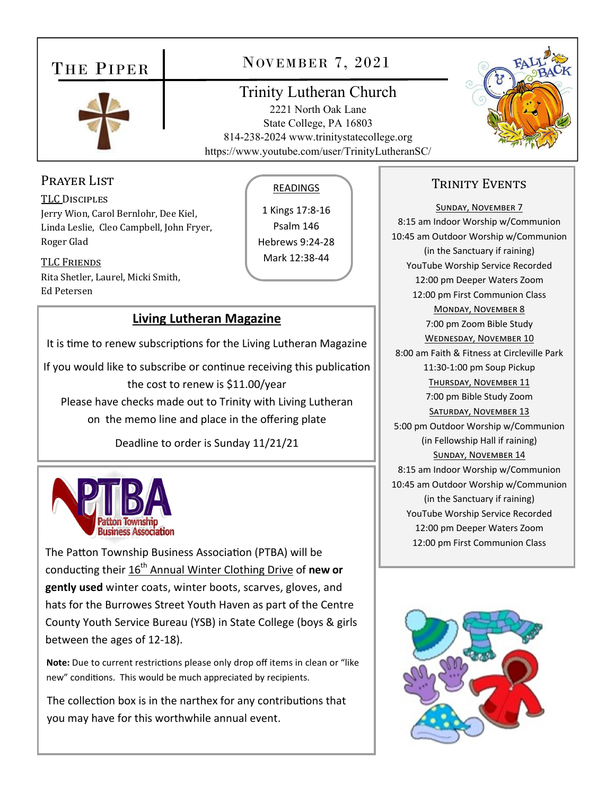## THE PIPER



## NOVEMBER 7, 2021

## **Trinity Lutheran Church**

2221 North Oak Lane State College, PA 16803 814-238-2024 www.trinitystatecollege.org https://www.youtube.com/user/TrinityLutheranSC/



### PRAYER LIST

**TLC DISCIPLES** Jerry Wion, Carol Bernlohr, Dee Kiel, Linda Leslie, Cleo Campbell, John Fryer, Roger Glad

**TLC FRIENDS** Rita Shetler, Laurel, Micki Smith, **Ed Petersen** 

#### **READINGS**

1 Kings 17:8-16 Psalm 146 Hebrews 9:24-28 Mark 12:38-44

#### **Living Lutheran Magazine**

It is time to renew subscriptions for the Living Lutheran Magazine

If you would like to subscribe or continue receiving this publication the cost to renew is \$11.00/year Please have checks made out to Trinity with Living Lutheran on the memo line and place in the offering plate

Deadline to order is Sunday 11/21/21



The Patton Township Business Association (PTBA) will be conducting their 16<sup>th</sup> Annual Winter Clothing Drive of new or gently used winter coats, winter boots, scarves, gloves, and hats for the Burrowes Street Youth Haven as part of the Centre County Youth Service Bureau (YSB) in State College (boys & girls between the ages of 12-18).

Note: Due to current restrictions please only drop off items in clean or "like new" conditions. This would be much appreciated by recipients.

The collection box is in the narthex for any contributions that you may have for this worthwhile annual event.

### **TRINITY EVENTS**

**SUNDAY, NOVEMBER 7** 8:15 am Indoor Worship w/Communion 10:45 am Outdoor Worship w/Communion (in the Sanctuary if raining) YouTube Worship Service Recorded 12:00 pm Deeper Waters Zoom 12:00 pm First Communion Class MONDAY, NOVEMBER 8 7:00 pm Zoom Bible Study **WEDNESDAY, NOVEMBER 10** 8:00 am Faith & Fitness at Circleville Park 11:30-1:00 pm Soup Pickup THURSDAY, NOVEMBER 11 7:00 pm Bible Study Zoom SATURDAY, NOVEMBER 13 5:00 pm Outdoor Worship w/Communion (in Fellowship Hall if raining) SUNDAY, NOVEMBER 14 8:15 am Indoor Worship w/Communion 10:45 am Outdoor Worship w/Communion (in the Sanctuary if raining) YouTube Worship Service Recorded 12:00 pm Deeper Waters Zoom 12:00 pm First Communion Class